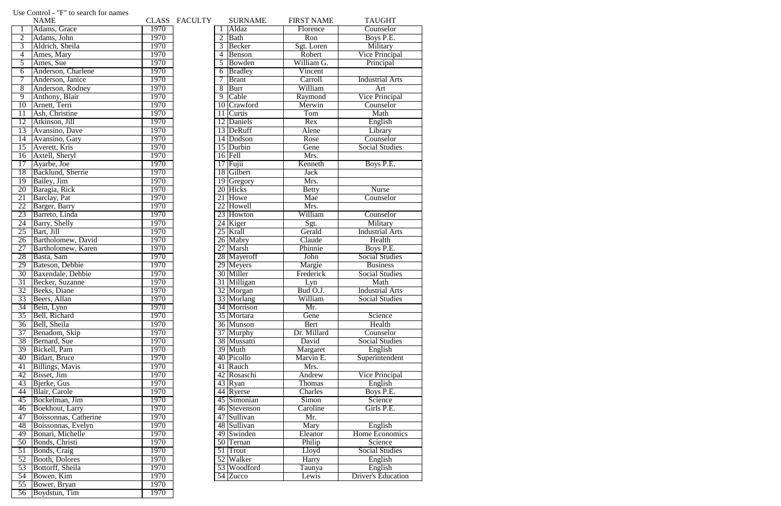|                 | <b>NAME</b>             |      | CLASS FACULTY |                   | <b>SURNAME</b> | <b>FIRST NAME</b>          | <b>TAUGHT</b>             |
|-----------------|-------------------------|------|---------------|-------------------|----------------|----------------------------|---------------------------|
|                 | Adams, Grace            | 1970 |               |                   | Aldaz          | Florence                   | Counselor                 |
| $\overline{2}$  | Adams, John             | 1970 |               | $\overline{2}$    | Bath           | Ron                        | Boys P.E.                 |
| 3               | Aldrich, Sheila         | 1970 |               | 3                 | Becker         | Sgt. Loren                 | Military                  |
| 4               | Ames, Mary              | 1970 |               | $\overline{4}$    | Benson         | Robert                     | <b>Vice Principal</b>     |
| 5               | Ames, Sue               | 1970 |               | $5^{\circ}$       | Bowden         | William G.                 | Principal                 |
| 6               | Anderson, Charlene      | 1970 |               | 6                 | Bradley        | Vincent                    |                           |
| 7               | Anderson, Janice        | 1970 |               | $\overline{\tau}$ | <b>Brant</b>   | Carroll                    | <b>Industrial Arts</b>    |
| $\overline{8}$  | Anderson, Rodney        | 1970 |               | $\overline{8}$    | Burr           | William                    | Art                       |
| $\overline{9}$  | Anthony, Blair          | 1970 |               | $\overline{9}$    | Cable          | Raymond                    | Vice Principal            |
| $\overline{10}$ | Arnett, Terri           | 1970 |               |                   | 10 Crawford    | Merwin                     | Counselor                 |
| 11              | Ash, Christine          | 1970 |               | 11                | Curtis         | Tom                        | Math                      |
| $\overline{12}$ | Atkinson, Jill          | 1970 |               |                   | 12 Daniels     | Rex                        | English                   |
| 13              | Avansino, Dave          | 1970 |               |                   | 13 DeRuff      | Alene                      | Library                   |
| 14              | Avansino, Gary          | 1970 |               |                   | 14 Dodson      | Rose                       | Counselor                 |
| 15              | Averett, Kris           | 1970 |               |                   | 15 Durbin      | Gene                       | <b>Social Studies</b>     |
| 16              | Axtell, Sheryl          | 1970 |               |                   | $16$ Fell      | Mrs.                       |                           |
| $\overline{17}$ | Ayarbe, Joe             | 1970 |               |                   | $17$ Fujii     | Kenneth                    | Boys P.E.                 |
| 18              | Backlund, Sherrie       | 1970 |               |                   | 18 Gilbert     | <b>Jack</b>                |                           |
| 19              | <b>Bailey</b> , Jim     | 1970 |               |                   | 19 Gregory     | Mrs.                       |                           |
| 20              | Baragia, Rick           | 1970 |               |                   | 20 Hicks       | <b>Betty</b>               | <b>Nurse</b>              |
| 21              | Barclay, Pat            | 1970 |               |                   | 21 Howe        | Mae                        | Counselor                 |
| 22              | Barger, Barry           | 1970 |               |                   | 22 Howell      | Mrs.                       |                           |
| 23              | Barreto, Linda          | 1970 |               |                   | 23 Howton      | William                    | Counselor                 |
| $\overline{24}$ | Barry, Shelly           | 1970 |               |                   | 24 Kiger       | Sgt.                       | Military                  |
| $\overline{25}$ | Bart, Jill              | 1970 |               |                   | 25 Krall       | Gerald                     | <b>Industrial Arts</b>    |
| $\overline{26}$ | Bartholomew, David      | 1970 |               |                   | 26 Mabry       | Claude                     | Health                    |
| $\overline{27}$ | Bartholomew, Karen      | 1970 |               |                   | 27 Marsh       | Phinnie                    | Boys P.E.                 |
| 28              | Basta, Sam              | 1970 |               |                   | 28 Mayeroff    | John                       | <b>Social Studies</b>     |
| 29              | Bateson, Debbie         | 1970 |               |                   | 29 Meyers      | Margie                     | <b>Business</b>           |
| 30              | Baxendale, Debbie       | 1970 |               |                   | 30 Miller      | Frederick                  | <b>Social Studies</b>     |
| 31              | Becker, Suzanne         | 1970 |               |                   | 31 Milligan    | Lyn                        | Math                      |
| 32              | Beeks, Diane            | 1970 |               |                   | 32 Morgan      | Bud O.J.                   | <b>Industrial Arts</b>    |
| 33              | Beers, Allan            | 1970 |               |                   | 33 Morlang     | William                    | <b>Social Studies</b>     |
| $\overline{34}$ | Bein, Lynn              | 1970 |               |                   | 34 Morrison    | Mr.                        |                           |
| $\overline{35}$ | Bell, Richard           | 1970 |               |                   | 35 Mortara     | Gene                       | Science                   |
| 36              | Bell, Sheila            | 1970 |               |                   | 36 Munson      | Bert                       | Health                    |
| 37              | Benadom, Skip           | 1970 |               |                   | 37 Murphy      | Dr. Millard                | Counselor                 |
| 38              | Bernard, Sue            | 1970 |               |                   | 38 Mussatti    | David                      | <b>Social Studies</b>     |
| 39              | Bickell, Pam            | 1970 |               |                   | 39 Muth        | Margaret                   | English                   |
| 40              | Bidart, Bruce           | 1970 |               |                   | 40 Picollo     | Marvin E.                  | Superintendent            |
| 41              | <b>Billings</b> , Mavis | 1970 |               |                   | 41 Rauch       | Mrs.                       |                           |
| 42              | Bisset, Jim             | 1970 |               |                   | 42 Rosaschi    | Andrew                     | <b>Vice Principal</b>     |
| 43              | Bjerke, Gus             | 1970 |               |                   | 43 Ryan        | Thomas                     | English                   |
| 44              | Blair, Carole           | 1970 |               |                   | 44 Ryerse      | Charles                    | Boys P.E.                 |
| 45              | Bockelman, Jim          | 1970 |               |                   | 45 Simonian    | $\overline{\text{S}}$ imon | Science                   |
| 46              | Boekhout, Larry         | 1970 |               |                   | 46 Stevenson   | Caroline                   | Girls P.E.                |
| 47              | Boissonnas, Catherine   | 1970 |               |                   | 47 Sullivan    | Mr.                        |                           |
| 48              | Boissonnas, Evelyn      | 1970 |               |                   | 48 Sullivan    | Mary                       | English                   |
| 49              | Bonari, Michelle        | 1970 |               |                   | 49 Swinden     | Eleanor                    | <b>Home Economics</b>     |
| 50              | Bonds, Christi          | 1970 |               |                   | 50 Ternan      | Philip                     | Science                   |
| 51              | Bonds, Craig            | 1970 |               |                   | 51 Trout       | Lloyd                      | <b>Social Studies</b>     |
| 52              | <b>Booth, Dolores</b>   | 1970 |               |                   | 52 Walker      | Harry                      | English                   |
| 53              | Bottorff, Sheila        | 1970 |               |                   | 53 Woodford    | Taunya                     | English                   |
| 54              | Bowen, Kim              | 1970 |               |                   | 54 Zucco       | Lewis                      | <b>Driver's Education</b> |
| $\overline{55}$ | Bower, Bryan            | 1970 |               |                   |                |                            |                           |
| 56              | Boydstun, Tim           | 1970 |               |                   |                |                            |                           |
|                 |                         |      |               |                   |                |                            |                           |

## Use Control - "F" to search for names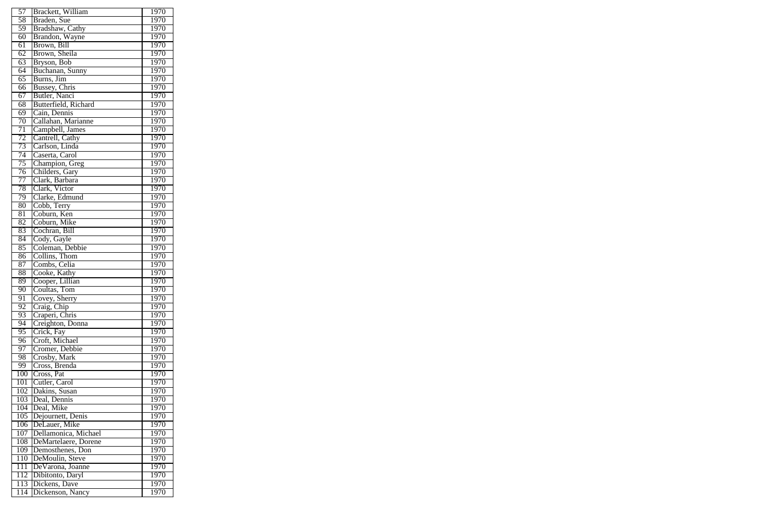| 57              | Brackett, William    | 1970              |
|-----------------|----------------------|-------------------|
| 58              | Braden, Sue          | 1970              |
| 59              | Bradshaw, Cathy      | 1970              |
| 60              | Brandon, Wayne       | 1970              |
| 61              | Brown, Bill          | 1970              |
| 62              | Brown, Sheila        | 1970              |
| 63              | Bryson, Bob          | 1970              |
| 64              | Buchanan, Sunny      | 1970              |
| 65              | Burns, Jim           | 1970              |
| 66              | Bussey, Chris        | 1970              |
| 67              | Butler, Nanci        | 1970              |
| 68              | Butterfield, Richard | 1970              |
| 69              | Cain, Dennis         | 1970              |
| $\overline{70}$ | Callahan, Marianne   | 1970              |
| 71              | Campbell, James      | 1970              |
| 72              | Cantrell, Cathy      | 1970              |
| 73              | Carlson, Linda       | 1970              |
| 74              | Caserta, Carol       | 1970              |
| 75              | Champion, Greg       | 1970              |
| 76              | Childers, Gary       | 1970              |
| 77              | Clark, Barbara       | 1970              |
| 78              | Clark, Victor        | 1970              |
| 79              | Clarke, Edmund       | 1970              |
| 80              | Cobb, Terry          | 1970              |
| 81              | Coburn, Ken          | 1970              |
| 82              | Coburn, Mike         | 1970              |
| 83              | Cochran, Bill        | 1970              |
| 84              | Cody, Gayle          | 1970              |
| 85              | Coleman, Debbie      | 1970              |
| 86              | Collins, Thom        | 1970              |
| 87              | Combs, Celia         | 1970              |
| 88              | Cooke, Kathy         | 1970              |
| 89              | Cooper, Lillian      | 1970              |
| 90              | Coultas, Tom         | 1970              |
| 91              | Covey, Sherry        | 1970              |
| 92              | Craig, Chip          | 1970              |
| 93              | Craperi, Chris       | 1970              |
| 94              | Creighton, Donna     | 1970              |
| $\overline{95}$ | Crick, Fay           | 1970              |
| 96              | Croft, Michael       | 1970              |
| 97              | Cromer, Debbie       | 1970              |
| 98              | Crosby, Mark         | 1970              |
| 99              | Cross, Brenda        | 1970              |
| 100             | Cross, Pat           | 1970              |
| 101             | Cutler, Carol        | 1970              |
| 102             | Dakins, Susan        | 1970              |
| 103             | Deal, Dennis         | $1\overline{970}$ |
| 104             | Deal, Mike           | 1970              |
| 105             | Dejournett, Denis    | 1970              |
| 106             | DeLauer, Mike        | 1970              |
| 107             | Dellamonica, Michael | 1970              |
| 108             | DeMartelaere, Dorene | 1970              |
| 109             | Demosthenes, Don     | 1970              |
| 110             | DeMoulin, Steve      | 1970              |
| 111             | De Varona, Joanne    | 1970              |
|                 |                      | 1970              |
| 112             | Dibitonto, Daryl     |                   |
|                 | 113 Dickens, Dave    | 1970              |
| 114             | Dickenson, Nancy     | 1970              |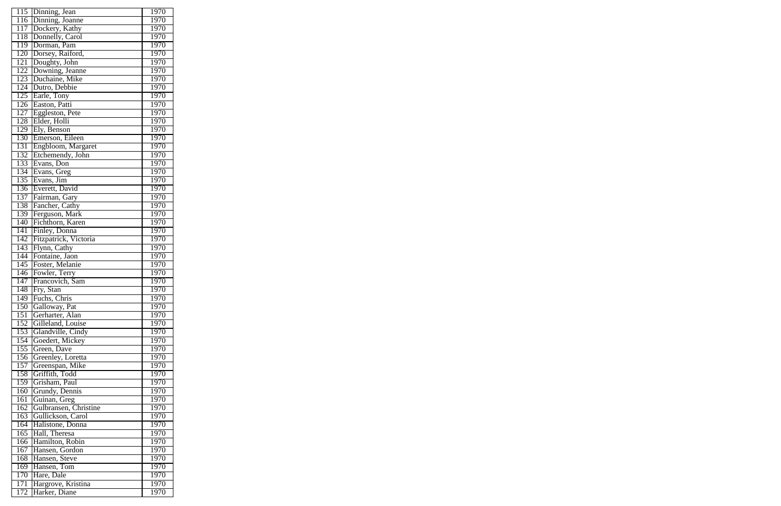| 115              | Dinning, Jean                     | 1970 |
|------------------|-----------------------------------|------|
| 116              | Dinning, Joanne                   | 1970 |
| 117              | Dockery, Kathy                    | 1970 |
| 118              | Donnelly, Carol                   | 1970 |
| 119              | Dorman, Pam                       | 1970 |
| 120              | Dorsey, Raiford,<br>Doughty, John | 1970 |
| 121              |                                   | 1970 |
| 122              | Downing, Jeanne                   | 1970 |
| 123              | Duchaine, Mike                    | 1970 |
| 124              | Dutro, Debbie                     | 1970 |
| 125              |                                   | 1970 |
| $\overline{126}$ | Earle, Tony<br>Easton, Patti      | 1970 |
| $\overline{127}$ | Eggleston, Pete                   | 1970 |
| 128              | Elder, Holli                      | 1970 |
| 129              | Ely, Benson                       | 1970 |
| 130              | Emerson, Eileen                   | 1970 |
| 131              | Engbloom, Margaret                | 1970 |
| 132              | Etchemendy, John                  | 1970 |
| 133              | Evans, Don                        | 1970 |
|                  |                                   |      |
| 134              | Evans, Greg                       | 1970 |
| 135              | Evans, Jim                        | 1970 |
| 136              | Everett, David                    | 1970 |
| 137              | Fairman, Gary                     | 1970 |
| 138              | Fancher, Cathy                    | 1970 |
| 139              | Ferguson, Mark                    | 1970 |
| 140              | Fichthorn, Karen                  | 1970 |
| 141              | Finley, Donna                     | 1970 |
| 142              | Fitzpatrick, Victoria             | 1970 |
| 143              | Flynn, Cathy                      | 1970 |
| 144              | Fontaine, Jaon                    | 1970 |
| 145              | Foster, Melanie                   | 1970 |
| 146              | Fowler, Terry                     | 1970 |
| 147              | Francovich, Sam                   | 1970 |
| 148              | Fry, Stan                         | 1970 |
| 149              | Fuchs, Chris                      | 1970 |
| 150              | Galloway, Pat                     | 1970 |
| 151              | Gerharter, Alan                   | 1970 |
| 152              | Gilleland, Louise                 | 1970 |
| 153              | Glandville, Cindy                 | 1970 |
| 154              | Goedert, Mickey                   | 1970 |
| 155              | Green, Dave                       | 1970 |
| 156              | Greenley, Loretta                 | 1970 |
| 157              | Greenspan, Mike                   | 1970 |
| 158              | Griffith, Todd                    | 1970 |
| 159              | Grisham, Paul                     | 1970 |
| 160              | Grundy, Dennis                    | 1970 |
| 161              | Guinan, Greg                      | 1970 |
| 162              | Gulbransen, Christine             | 1970 |
| 163              | Gullickson, Carol                 | 1970 |
| 164              | Halistone, Donna                  | 1970 |
| 165              | Hall, Theresa                     | 1970 |
| 166              | Hamilton, Robin                   | 1970 |
| 167              | Hansen, Gordon                    | 1970 |
| 168              | Hansen, Steve                     | 1970 |
|                  |                                   |      |
| 169              | Hansen, Tom                       | 1970 |
| 170              | Hare, Dale                        | 1970 |
| 171              | Hargrove, Kristina                | 1970 |
| 172              | Harker, Diane                     | 1970 |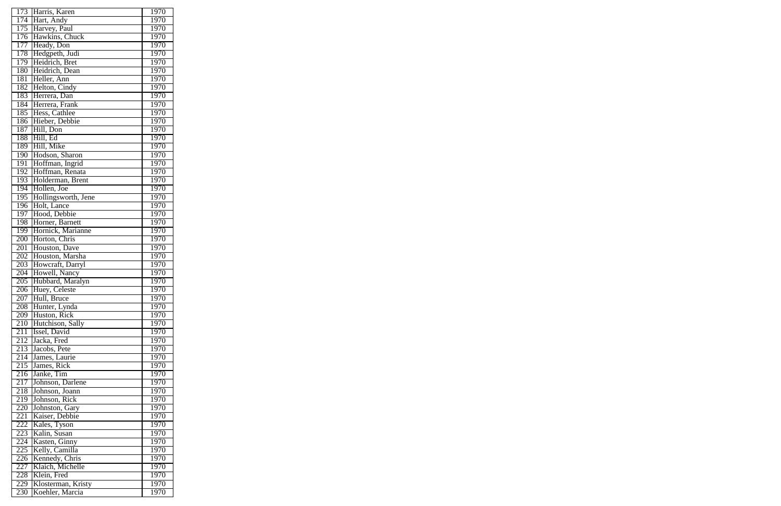| 173              | Harris, Karen                    | 1970 |
|------------------|----------------------------------|------|
| 174              | Hart, Andy                       | 1970 |
| 175              | Harvey, Paul                     | 1970 |
| 176              | Hawkins, Chuck                   | 1970 |
| 177              | Heady, Don                       | 1970 |
| 178              | Hedgpeth, Judi                   | 1970 |
| 179              | Heidrich, Bret                   | 1970 |
| 180              | Heidrich, Dean                   | 1970 |
| 181              | Heller, Ann                      | 1970 |
| 182              | Helton, Cindy                    | 1970 |
| 183              | Herrera, Dan                     | 1970 |
| 184              | Herrera, Frank                   | 1970 |
| 185              | Hess, Cathlee                    | 1970 |
| 186              | Hieber, Debbie                   | 1970 |
| 187              | Hill, Don                        | 1970 |
| 188              | Hill, Ed                         | 1970 |
| 189              | Hill, Mike                       | 1970 |
| 190              | Hodson, Sharon                   | 1970 |
| 191              | Hoffman, Ingrid                  | 1970 |
| 192              | Hoffman, Renata                  | 1970 |
| 193              | Holderman, Brent                 | 1970 |
| 194              | Hollen, Joe                      | 1970 |
| 195              | Hollingsworth, Jene              | 1970 |
| 196              | Holt, Lance                      | 1970 |
| 197              | Hood, Debbie                     | 1970 |
| 198              | Horner, Barnett                  | 1970 |
| 199              | Hornick, Marianne                | 1970 |
| 200              | Horton, Chris                    | 1970 |
| 201              | Houston, Dave                    | 1970 |
| 202              | Houston, Marsha                  | 1970 |
| 203              | Howcraft, Darryl                 | 1970 |
| 204              | Howell, Nancy                    | 1970 |
| 205              | Hubbard, Maralyn                 | 1970 |
| 206              | Huey, Celeste                    | 1970 |
| 207              | Hull, Bruce                      | 1970 |
| $2\overline{08}$ | Hunter, Lynda                    | 1970 |
|                  | 209 Huston, Rick                 | 1970 |
| 210              | Hutchison, Sally                 | 1970 |
| 211              | Issel, David                     | 1970 |
| 212              | Jacka, Fred                      | 1970 |
| 213              | Jacobs, Pete                     | 1970 |
| 214              | James, Laurie                    | 1970 |
| 215              | James, Rick                      | 1970 |
| 216              | Janke, Tim                       | 1970 |
| 217              | Johnson, Darlene                 | 1970 |
| 218              | Johnson, Joann                   | 1970 |
| 219              | Johnson, Rick                    | 1970 |
| 220              |                                  | 1970 |
| 221              | Johnston, Gary<br>Kaiser, Debbie | 1970 |
| 222              |                                  | 1970 |
| 223              | Kales, Tyson<br>Kalin, Susan     | 1970 |
|                  |                                  |      |
| 224              | Kasten, Ginny                    | 1970 |
| 225              | Kelly, Camilla                   | 1970 |
| 226              | Kennedy, Chris                   | 1970 |
| 227              | Klaich, Michelle                 | 1970 |
| 228              | Klein, Fred                      | 1970 |
| 229              | Klosterman, Kristy               | 1970 |
| 230              | Koehler, Marcia                  | 1970 |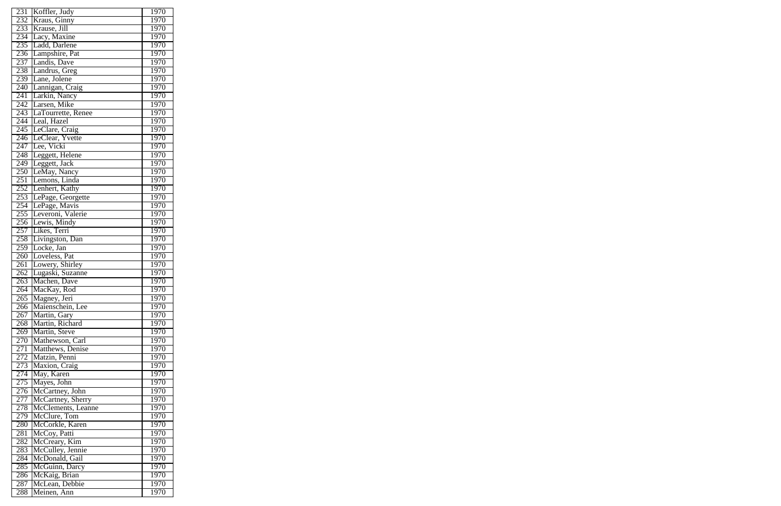| 231              | Koffler, Judy        | 1970              |
|------------------|----------------------|-------------------|
| 232              | Kraus, Ginny         | 1970              |
| 233              | Krause, Jill         | 1970              |
| 234              | Lacy, Maxine         | 1970              |
| 235              | Ladd, Darlene        | 1970              |
| 236              | Lampshire, Pat       | 1970              |
| 237              | andis, Dave          |                   |
|                  |                      | 1970              |
| 238              | Landrus, Greg        | 1970              |
| 239              | Lane, Jolene         | 1970              |
| 240              | Lannigan, Craig      | 1970              |
| 241              | Larkin, Nancy        | 1970              |
| 242              | arsen, Mike          | $1\overline{970}$ |
| 243              | LaTourrette, Renee   | 1970              |
| 244              | Leal, Hazel          | 1970              |
| 245              | LeClare, Craig       | 1970              |
| 246              | LeClear, Yvette      | 1970              |
| 247              | Lee, Vicki           | 1970              |
| 248              | Leggett, Helene      | 1970              |
|                  |                      |                   |
| 249              | Leggett, Jack        | 1970              |
| 250              | LeMay, Nancy         | 1970              |
| 251              | Lemons, Linda        | 1970              |
| 252              | Lenhert, Kathy       | 1970              |
| 253              | LePage, Georgette    | 1970              |
| 254              | ePage, Mavis<br>II   | 1970              |
| 255              | Leveroni, Valerie    | 1970              |
| 256              | Lewis, Mindy         | 1970              |
| 257              | Likes, Terri         | 1970              |
| 258              | Livingston, Dan      | 1970              |
|                  |                      |                   |
| 259              | Locke, Jan           | 1970              |
| 260              | Loveless, Pat        | 1970              |
| 261              | Lowery, Shirley      | 1970              |
| 262              | Lugaski, Suzanne     | 1970              |
| $\overline{263}$ | Machen, Dave         | 1970              |
| 264              | MacKay, Rod          | 1970              |
|                  | 265 Magney, Jeri     | 1970              |
|                  | 266 Maienschein, Lee | 1970              |
| 267              | Martin, Gary         | 1970              |
| 268              | Martin, Richard      | 1970              |
|                  | 269 Martin, Steve    | 1970              |
|                  |                      |                   |
| 270              | Mathewson, Carl      | 1970              |
| 271              | Matthews, Denise     | 1970              |
| 272              | Matzin, Penni        | 1970              |
| 273              | Maxion, Craig        | 1970              |
|                  | 274 May, Karen       | 1970              |
| 275              | Mayes, John          | 1970              |
| 276              | McCartney, John      | 1970              |
| 277              | McCartney, Sherry    | 1970              |
| 278              | McClements, Leanne   | 1970              |
| 279              | McClure, Tom         | 1970              |
| 280              | McCorkle, Karen      | 1970              |
|                  |                      |                   |
| 281              | McCoy, Patti         | 1970              |
| 282              | McCreary, Kim        | 1970              |
| 283              | McCulley, Jennie     | 1970              |
| 284              | McDonald, Gail       | 1970              |
| 285              | McGuinn, Darcy       | 1970              |
| 286              | McKaig, Brian        | 1970              |
| 287              | McLean, Debbie       | 1970              |
| 288              | Meinen, Ann          | 1970              |
|                  |                      |                   |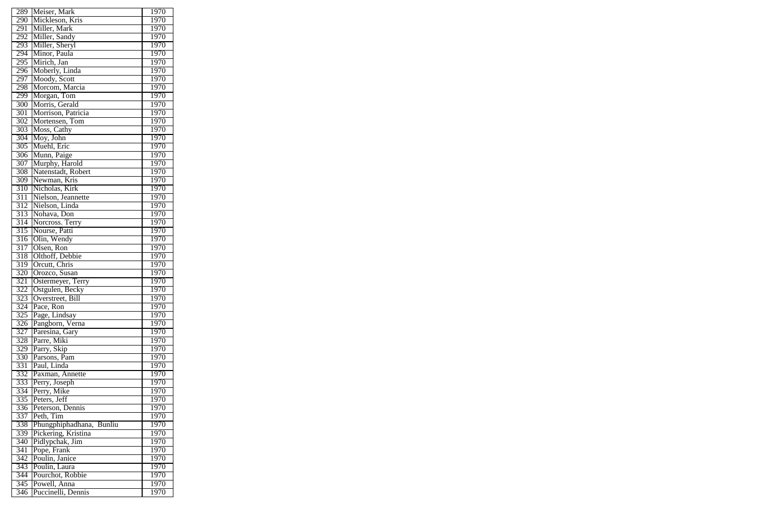| 289              | Meiser, Mark                 | 1970              |
|------------------|------------------------------|-------------------|
| 290              | Mickleson, Kris              | 1970              |
| 291              | Miller, Mark                 | 1970              |
| 292              | Miller, Sandy                | 1970              |
| 293              | Miller, Sheryl               | 1970              |
| 294              | Minor, Paula                 | 1970              |
| 295              | Mirich, Jan                  | 1970              |
| 296              | Moberly, Linda               | 1970              |
| 297              | Moody, Scott                 | 1970              |
| 298              | Morcom, Marcia               | 1970              |
| 299              | Morgan, Tom                  | 1970              |
| 300              | Morris, Gerald               | 1970              |
| 301              | Morrison, Patricia           | 1970              |
| 302              | Mortensen, Tom               | 1970              |
| 303              |                              | 1970              |
|                  | Moss, Cathy<br>Moy, John     |                   |
| 304              |                              | $1\overline{970}$ |
| 305              | Muehl, Eric                  | 1970              |
| $\overline{306}$ | Munn, Paige                  | 1970              |
| 307              | Murphy, Harold               | 1970              |
| 308              | Natenstadt, Robert           | 1970              |
| 309              | Newman, Kris                 | 1970              |
| 310              | Nicholas, Kirk               | 1970              |
| 311              | Nielson, Jeannette           | 1970              |
| 312              | Nielson, Linda               | 1970              |
| 313              | Nohava, Don                  | 1970              |
| $\overline{314}$ | Norcross. Terry              | 1970              |
| 315              | Nourse, Patti                | 1970              |
| 316              | Olin, Wendy                  | 1970              |
| $\overline{317}$ | Olsen, Ron                   | 1970              |
| 318              | Olthoff, Debbie              | 1970              |
| 319              | Orcutt, Chris                | 1970              |
| 320              | Orozco, Susan                | 1970              |
| $\overline{321}$ | Ostermeyer, Terry            | 1970              |
| 322<br>323       | Ostgulen, Becky              | 1970              |
|                  | Overstreet, Bill             | 1970              |
| 324              | Pace, Ron                    | 1970              |
| 325              | Page, Lindsay                | 1970              |
| $\overline{3}26$ | Pangborn, Verna              | 1970              |
| 327              | Paresina, Gary               | 1970              |
| 328              | Parre, Miki<br>Parry, Skip   | 1970              |
| 329              |                              | 1970              |
| 330              | Parsons, Pam                 | 1970              |
| 331<br>332       | Paul, Linda                  | 1970<br>1970      |
|                  | Paxman, Annette              |                   |
| 333<br>334       | Perry, Joseph<br>Perry, Mike | 1970<br>1970      |
| 335              | Peters, Jeff                 | 1970              |
| 336              | Peterson, Dennis             | 1970              |
| 337              | Peth, Tim                    | 1970              |
| 338              | Phungphiphadhana, Bunliu     | 1970              |
| 339              | Pickering, Kristina          | 1970              |
| 340              | Pidlypchak, Jim              | 1970              |
| 341              | Pope, Frank                  | 1970              |
| 342              | Poulin, Janice               | 1970              |
| 343              | Poulin, Laura                | 1970              |
| 344              | Pourchot, Robbie             | 1970              |
| $\overline{345}$ | Powell, Anna                 | 1970              |
| 346              | Puccinelli, Dennis           | 1970              |
|                  |                              |                   |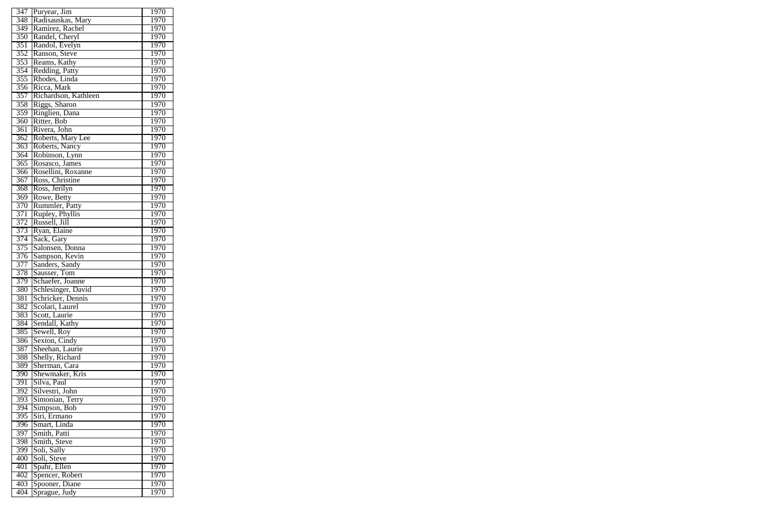| 347              | Puryear, Jim                            | 1970         |
|------------------|-----------------------------------------|--------------|
| 348              | Radisauskas, Mary                       | 1970         |
| $\overline{349}$ | Ramirez, Rachel                         | 1970         |
| 350              | Randel, Cheryl                          | 1970         |
| 351              | Randol, Evelyn                          | 1970         |
| 352              | Ranson, Steve                           | 1970         |
| 353              | Reams, Kathy                            | 1970         |
| 354              |                                         | 1970         |
|                  | Redding, Patty                          |              |
| 355              | Rhodes, Linda                           | 1970         |
| 356              | Ricca, Mark                             | 1970         |
| 357              | Richardson, Kathleen                    | 1970         |
| 358              | Riggs, Sharon                           | 1970         |
| $\overline{359}$ | Ringlien, Dana                          | 1970         |
| $\overline{360}$ | Ritter, Bob                             | 1970         |
| $\overline{361}$ | Rivera, John                            | 1970         |
| 362              | Roberts, Mary Lee                       | 1970         |
| 363              | Roberts, Nancy                          | 1970         |
| 364              | Robinson, Lynn                          | 1970         |
| 365              | Rosasco, James                          | 1970         |
| 366              | Rosellini, Roxanne                      | 1970         |
| 367              | Ross, Christine                         | 1970         |
| 368              | Ross, Jerilyn                           | 1970         |
| $\overline{369}$ | Rowe, Betty                             | 1970         |
| 370              | Rummler, Patty                          | 1970         |
| 371              | Rupley, Phyllis                         | 1970         |
| 372              | Russell, Jill                           | 1970         |
| 373              | Ryan, Elaine                            | 1970         |
| $\overline{374}$ | Sack, Gary                              | 1970         |
| 375              | Salonsen, Donna                         | 1970         |
| $\overline{376}$ | Sampson, Kevin                          | 1970         |
| 377              | Sanders, Sandy                          | 1970         |
| 378              | Sausser, Tom                            | 1970         |
| 379              | Schaefer, Joanne                        | 1970         |
| 380              |                                         |              |
| 381              | Schlesinger, David<br>Schricker, Dennis | 1970<br>1970 |
|                  |                                         |              |
| 382              | Scolari, Laurel                         | 1970         |
| 383              | Scott, Laurie                           | 1970         |
| 384              | Sendall, Kathy                          | 1970         |
| 385              | Sewell, Roy                             | 1970         |
| 386              | Sexton, Cindy                           | 1970         |
| 387              | Sheehan, Laurie                         | 1970         |
| 388              | Shelly, Richard                         | 1970         |
| 389              | Sherman, Cara                           | 1970         |
| 390              | Shewmaker, Kris                         | 1970         |
| 391              | Silva, Paul                             | 1970         |
| 392              | Silvestri, John                         | 1970         |
| 393              | Simonian, Terry                         | 1970         |
| 394              | Simpson, Bob                            | 1970         |
| 395              | Siri, Ermano                            | 1970         |
| 396              | Smart, Linda                            | 1970         |
| 397              | Smith, Patti                            | 1970         |
| 398              | Smith, Steve                            | 1970         |
| 399              | Soli, Sally                             | 1970         |
| 400              | Soli, Steve                             | 1970         |
| 401              | Spahr, Ellen                            | 1970         |
| 402              | Spencer, Robert                         | 1970         |
| 403              | Spooner, Diane                          | 1970         |
| 404              | Sprague, Judy                           | 1970         |
|                  |                                         |              |